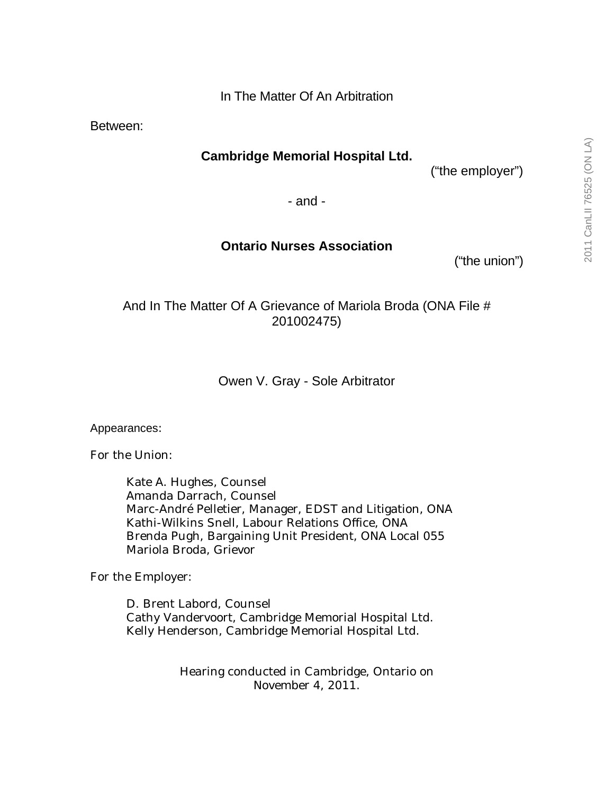Between:

# **Cambridge Memorial Hospital Ltd.**

("the employer")

- and -

## **Ontario Nurses Association**

("the union")

And In The Matter Of A Grievance of Mariola Broda (ONA File # 201002475)

Owen V. Gray - Sole Arbitrator

Appearances:

For the Union:

Kate A. Hughes, Counsel Amanda Darrach, Counsel Marc-André Pelletier, Manager, EDST and Litigation, ONA Kathi-Wilkins Snell, Labour Relations Office, ONA Brenda Pugh, Bargaining Unit President, ONA Local 055 Mariola Broda, Grievor

For the Employer:

D. Brent Labord, Counsel Cathy Vandervoort, Cambridge Memorial Hospital Ltd. Kelly Henderson, Cambridge Memorial Hospital Ltd.

> Hearing conducted in Cambridge, Ontario on November 4, 2011.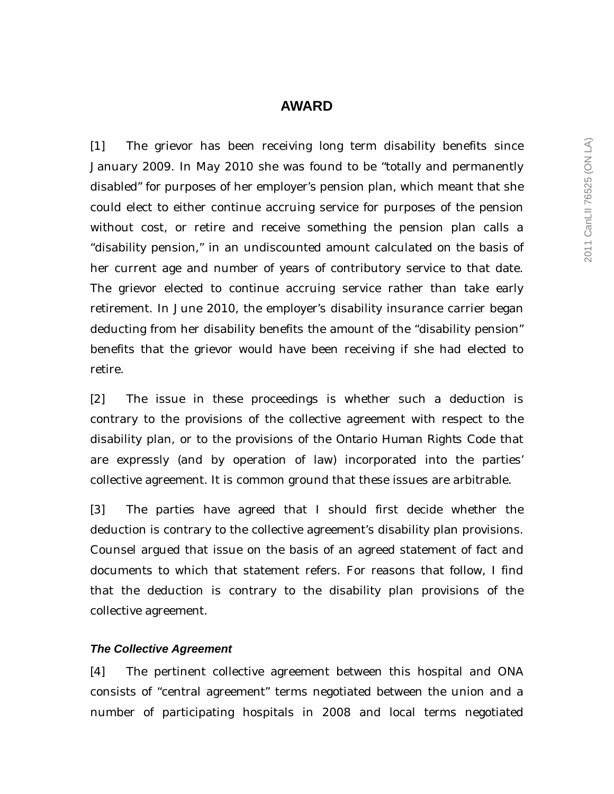# **AWARD**

[1] The grievor has been receiving long term disability benefits since January 2009. In May 2010 she was found to be "totally and permanently disabled" for purposes of her employer's pension plan, which meant that she could elect to either continue accruing service for purposes of the pension without cost, or retire and receive something the pension plan calls a "disability pension," in an undiscounted amount calculated on the basis of her current age and number of years of contributory service to that date. The grievor elected to continue accruing service rather than take early retirement. In June 2010, the employer's disability insurance carrier began deducting from her disability benefits the amount of the "disability pension" benefits that the grievor would have been receiving if she had elected to retire.

[2] The issue in these proceedings is whether such a deduction is contrary to the provisions of the collective agreement with respect to the disability plan, or to the provisions of the *Ontario Human Rights Code* that are expressly (and by operation of law) incorporated into the parties' collective agreement. It is common ground that these issues are arbitrable.

[3] The parties have agreed that I should first decide whether the deduction is contrary to the collective agreement's disability plan provisions. Counsel argued that issue on the basis of an agreed statement of fact and documents to which that statement refers. For reasons that follow, I find that the deduction is contrary to the disability plan provisions of the collective agreement.

#### *The Collective Agreement*

[4] The pertinent collective agreement between this hospital and ONA consists of "central agreement" terms negotiated between the union and a number of participating hospitals in 2008 and local terms negotiated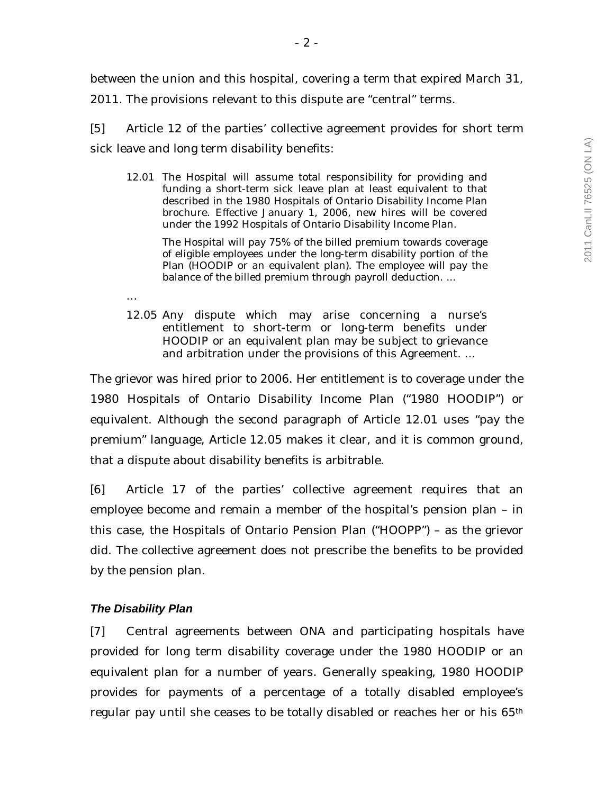[5] Article 12 of the parties' collective agreement provides for short term sick leave and long term disability benefits:

12.01 The Hospital will assume total responsibility for providing and funding a short-term sick leave plan at least equivalent to that described in the 1980 Hospitals of Ontario Disability Income Plan brochure. Effective January 1, 2006, new hires will be covered under the 1992 Hospitals of Ontario Disability Income Plan.

 The Hospital will pay 75% of the billed premium towards coverage of eligible employees under the long-term disability portion of the Plan (HOODIP or an equivalent plan). The employee will pay the balance of the billed premium through payroll deduction. ...

12.05 Any dispute which may arise concerning a nurse's entitlement to short-term or long-term benefits under HOODIP or an equivalent plan may be subject to grievance and arbitration under the provisions of this Agreement. …

The grievor was hired prior to 2006. Her entitlement is to coverage under the 1980 Hospitals of Ontario Disability Income Plan ("1980 HOODIP") or equivalent. Although the second paragraph of Article 12.01 uses "pay the premium" language, Article 12.05 makes it clear, and it is common ground, that a dispute about disability benefits is arbitrable.

[6] Article 17 of the parties' collective agreement requires that an employee become and remain a member of the hospital's pension plan – in this case, the Hospitals of Ontario Pension Plan ("HOOPP") – as the grievor did. The collective agreement does not prescribe the benefits to be provided by the pension plan.

## *The Disability Plan*

…

[7] Central agreements between ONA and participating hospitals have provided for long term disability coverage under the 1980 HOODIP or an equivalent plan for a number of years. Generally speaking, 1980 HOODIP provides for payments of a percentage of a totally disabled employee's regular pay until she ceases to be totally disabled or reaches her or his 65th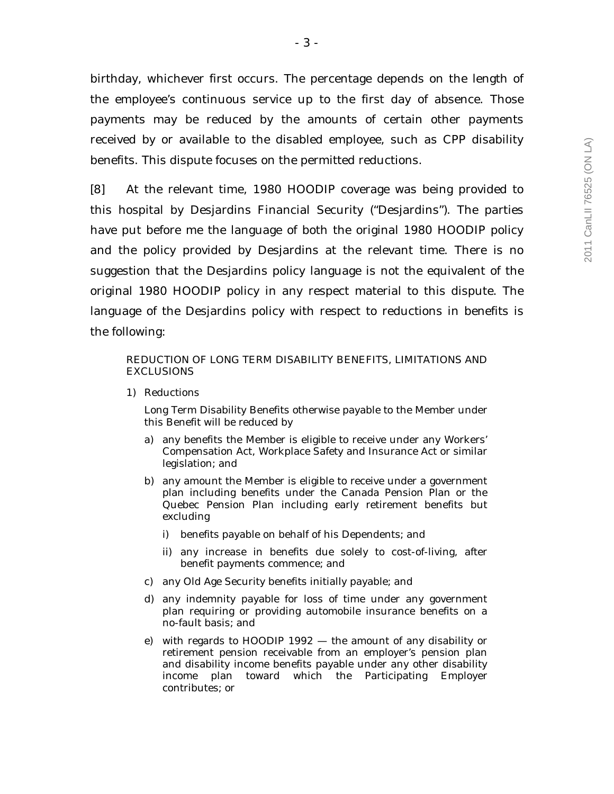birthday, whichever first occurs. The percentage depends on the length of the employee's continuous service up to the first day of absence. Those payments may be reduced by the amounts of certain other payments received by or available to the disabled employee, such as CPP disability benefits. This dispute focuses on the permitted reductions.

[8] At the relevant time, 1980 HOODIP coverage was being provided to this hospital by Desjardins Financial Security ("Desjardins"). The parties have put before me the language of both the original 1980 HOODIP policy and the policy provided by Desjardins at the relevant time. There is no suggestion that the Desjardins policy language is not the equivalent of the original 1980 HOODIP policy in any respect material to this dispute. The language of the Desjardins policy with respect to reductions in benefits is the following:

#### REDUCTION OF LONG TERM DISABILITY BENEFITS, LIMITATIONS AND **EXCLUSIONS**

1) Reductions

 Long Term Disability Benefits otherwise payable to the Member under this Benefit will be reduced by

- a) any benefits the Member is eligible to receive under any Workers' Compensation Act, Workplace Safety and Insurance Act or similar legislation; and
- b) any amount the Member is eligible to receive under a government plan including benefits under the Canada Pension Plan or the Quebec Pension Plan including early retirement benefits but excluding
	- benefits payable on behalf of his Dependents; and
	- ii) any increase in benefits due solely to cost-of-living, after benefit payments commence; and
- c) any Old Age Security benefits initially payable; and
- d) any indemnity payable for loss of time under any government plan requiring or providing automobile insurance benefits on a no-fault basis; and
- e) with regards to HOODIP 1992 the amount of any disability or retirement pension receivable from an employer's pension plan and disability income benefits payable under any other disability income plan toward which the Participating Employer contributes; or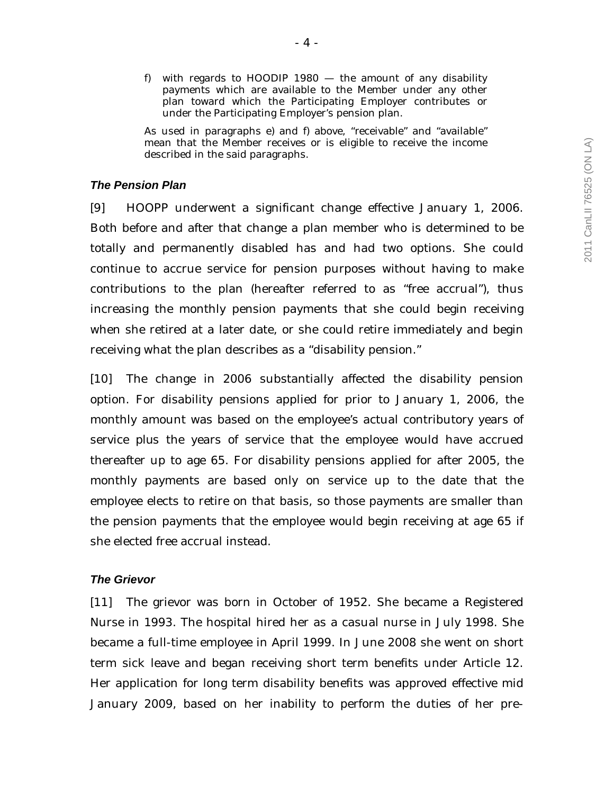As used in paragraphs e) and f) above, "receivable" and "available" mean that the Member receives or is eligible to receive the income described in the said paragraphs.

### *The Pension Plan*

[9] HOOPP underwent a significant change effective January 1, 2006. Both before and after that change a plan member who is determined to be totally and permanently disabled has and had two options. She could continue to accrue service for pension purposes without having to make contributions to the plan (hereafter referred to as "free accrual"), thus increasing the monthly pension payments that she could begin receiving when she retired at a later date, or she could retire immediately and begin receiving what the plan describes as a "disability pension."

[10] The change in 2006 substantially affected the disability pension option. For disability pensions applied for prior to January 1, 2006, the monthly amount was based on the employee's actual contributory years of service *plus* the years of service that the employee would have accrued thereafter up to age 65. For disability pensions applied for after 2005, the monthly payments are based only on service up to the date that the employee elects to retire on that basis, so those payments are smaller than the pension payments that the employee would begin receiving at age 65 if she elected free accrual instead.

## *The Grievor*

[11] The grievor was born in October of 1952. She became a Registered Nurse in 1993. The hospital hired her as a casual nurse in July 1998. She became a full-time employee in April 1999. In June 2008 she went on short term sick leave and began receiving short term benefits under Article 12. Her application for long term disability benefits was approved effective mid January 2009, based on her inability to perform the duties of her pre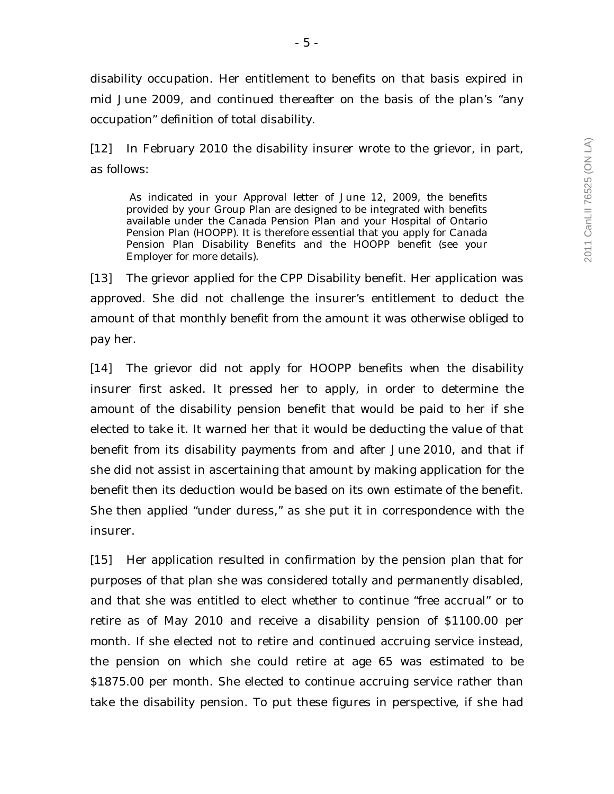disability occupation. Her entitlement to benefits on that basis expired in mid June 2009, and continued thereafter on the basis of the plan's "any occupation" definition of total disability.

[12] In February 2010 the disability insurer wrote to the grievor, in part, as follows:

 As indicated in your Approval letter of June 12, 2009, the benefits provided by your Group Plan are designed to be integrated with benefits available under the Canada Pension Plan and your Hospital of Ontario Pension Plan (HOOPP). It is therefore essential that you apply for Canada Pension Plan Disability Benefits and the HOOPP benefit (see your Employer for more details).

[13] The grievor applied for the CPP Disability benefit. Her application was approved. She did not challenge the insurer's entitlement to deduct the amount of that monthly benefit from the amount it was otherwise obliged to pay her.

[14] The grievor did not apply for HOOPP benefits when the disability insurer first asked. It pressed her to apply, in order to determine the amount of the disability pension benefit that would be paid to her if she elected to take it. It warned her that it would be deducting the value of that benefit from its disability payments from and after June 2010, and that if she did not assist in ascertaining that amount by making application for the benefit then its deduction would be based on its own estimate of the benefit. She then applied "under duress," as she put it in correspondence with the insurer.

[15] Her application resulted in confirmation by the pension plan that for purposes of that plan she was considered totally and permanently disabled, and that she was entitled to elect whether to continue "free accrual" or to retire as of May 2010 and receive a disability pension of \$1100.00 per month. If she elected not to retire and continued accruing service instead, the pension on which she could retire at age 65 was estimated to be \$1875.00 per month. She elected to continue accruing service rather than take the disability pension. To put these figures in perspective, if she had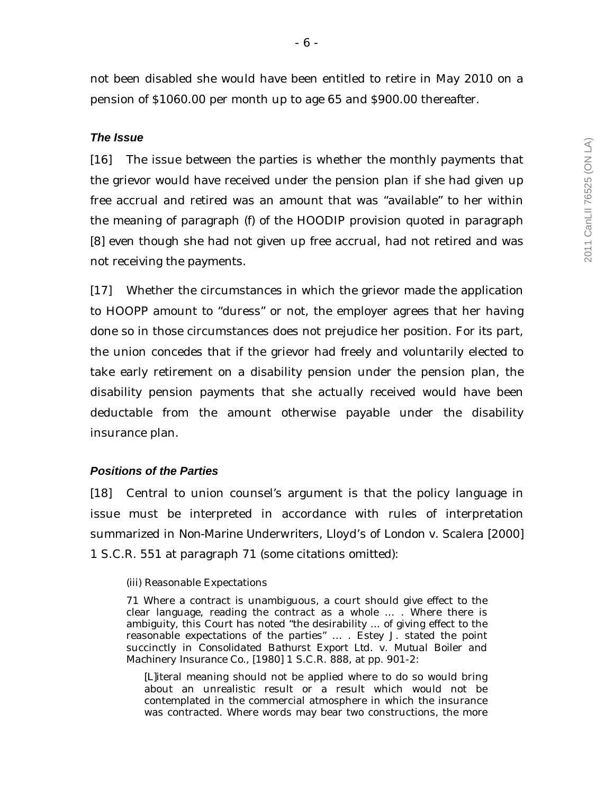not been disabled she would have been entitled to retire in May 2010 on a pension of \$1060.00 per month up to age 65 and \$900.00 thereafter.

### *The Issue*

[16] The issue between the parties is whether the monthly payments that the grievor would have received under the pension plan if she had given up free accrual and retired was an amount that was "available" to her within the meaning of paragraph (f) of the HOODIP provision quoted in paragraph [8] even though she had not given up free accrual, had not retired and was not receiving the payments.

[17] Whether the circumstances in which the grievor made the application to HOOPP amount to "duress" or not, the employer agrees that her having done so in those circumstances does not prejudice her position. For its part, the union concedes that if the grievor had freely and voluntarily elected to take early retirement on a disability pension under the pension plan, the disability pension payments that she actually received would have been deductable from the amount otherwise payable under the disability insurance plan.

### *Positions of the Parties*

[18] Central to union counsel's argument is that the policy language in issue must be interpreted in accordance with rules of interpretation summarized in *Non-Marine Underwriters, Lloyd's of London v. Scalera* [2000] 1 S.C.R. 551 at paragraph 71 (some citations omitted):

#### (iii) Reasonable Expectations

71 Where a contract is unambiguous, a court should give effect to the clear language, reading the contract as a whole … . Where there is ambiguity, this Court has noted "the desirability ... of giving effect to the reasonable expectations of the parties" … . Estey J. stated the point succinctly in *Consolidated Bathurst Export Ltd. v. Mutual Boiler and Machinery Insurance Co.*, [1980] 1 S.C.R. 888, at pp. 901-2:

[L]iteral meaning should not be applied where to do so would bring about an unrealistic result or a result which would not be contemplated in the commercial atmosphere in which the insurance was contracted. Where words may bear two constructions, the more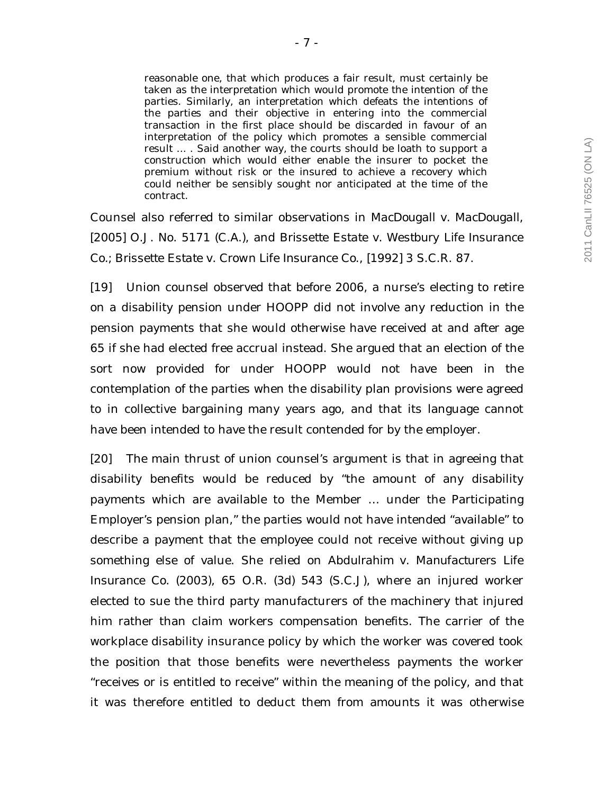reasonable one, that which produces a fair result, must certainly be taken as the interpretation which would promote the intention of the parties. Similarly, an interpretation which defeats the intentions of the parties and their objective in entering into the commercial transaction in the first place should be discarded in favour of an interpretation of the policy which promotes a sensible commercial result ... . Said another way, the courts should be loath to support a construction which would either enable the insurer to pocket the premium without risk or the insured to achieve a recovery which could neither be sensibly sought nor anticipated at the time of the contract.

Counsel also referred to similar observations in *MacDougall v. MacDougall*, [2005] O.J. No. 5171 (C.A.), and *Brissette Estate v. Westbury Life Insurance Co.; Brissette Estate v. Crown Life Insurance Co*., [1992] 3 S.C.R. 87.

[19] Union counsel observed that before 2006, a nurse's electing to retire on a disability pension under HOOPP did not involve any reduction in the pension payments that she would otherwise have received at and after age 65 if she had elected free accrual instead. She argued that an election of the sort now provided for under HOOPP would not have been in the contemplation of the parties when the disability plan provisions were agreed to in collective bargaining many years ago, and that its language cannot have been intended to have the result contended for by the employer.

[20] The main thrust of union counsel's argument is that in agreeing that disability benefits would be reduced by "the amount of any disability payments which are available to the Member … under the Participating Employer's pension plan," the parties would not have intended "available" to describe a payment that the employee could not receive without giving up something else of value. She relied on *Abdulrahim v. Manufacturers Life Insurance Co.* (2003), 65 O.R. (3d) 543 (S.C.J), where an injured worker elected to sue the third party manufacturers of the machinery that injured him rather than claim workers compensation benefits. The carrier of the workplace disability insurance policy by which the worker was covered took the position that those benefits were nevertheless payments the worker "receives or is entitled to receive" within the meaning of the policy, and that it was therefore entitled to deduct them from amounts it was otherwise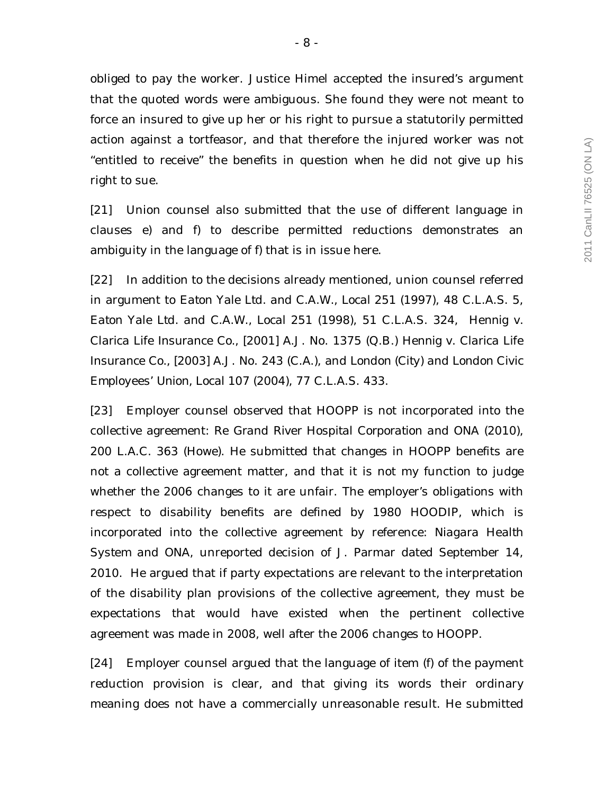obliged to pay the worker. Justice Himel accepted the insured's argument that the quoted words were ambiguous. She found they were not meant to force an insured to give up her or his right to pursue a statutorily permitted action against a tortfeasor, and that therefore the injured worker was not "entitled to receive" the benefits in question when he did not give up his right to sue.

[21] Union counsel also submitted that the use of different language in clauses e) and f) to describe permitted reductions demonstrates an ambiguity in the language of f) that is in issue here.

[22] In addition to the decisions already mentioned, union counsel referred in argument to *Eaton Yale Ltd. and C.A.W., Local 251* (1997), 48 C.L.A.S. 5, *Eaton Yale Ltd. and C.A.W., Local 251* (1998), 51 C.L.A.S. 324, *Hennig v. Clarica Life Insurance Co.,* [2001] A.J. No. 1375 (Q.B.) *Hennig v. Clarica Life Insurance Co.,* [2003] A.J. No. 243 (C.A.), and *London (City) and London Civic Employees' Union, Local 107* (2004), 77 C.L.A.S. 433.

[23] Employer counsel observed that HOOPP is not incorporated into the collective agreement: *Re Grand River Hospital Corporation and ONA* (2010), 200 L.A.C. 363 (Howe). He submitted that changes in HOOPP benefits are not a collective agreement matter, and that it is not my function to judge whether the 2006 changes to it are unfair. The employer's obligations with respect to disability benefits are defined by 1980 HOODIP, which is incorporated into the collective agreement by reference: *Niagara Health System and ONA*, unreported decision of J. Parmar dated September 14, 2010. He argued that if party expectations are relevant to the interpretation of the disability plan provisions of the collective agreement, they must be expectations that would have existed when the pertinent collective agreement was made in 2008, well after the 2006 changes to HOOPP.

[24] Employer counsel argued that the language of item (f) of the payment reduction provision is clear, and that giving its words their ordinary meaning does not have a commercially unreasonable result. He submitted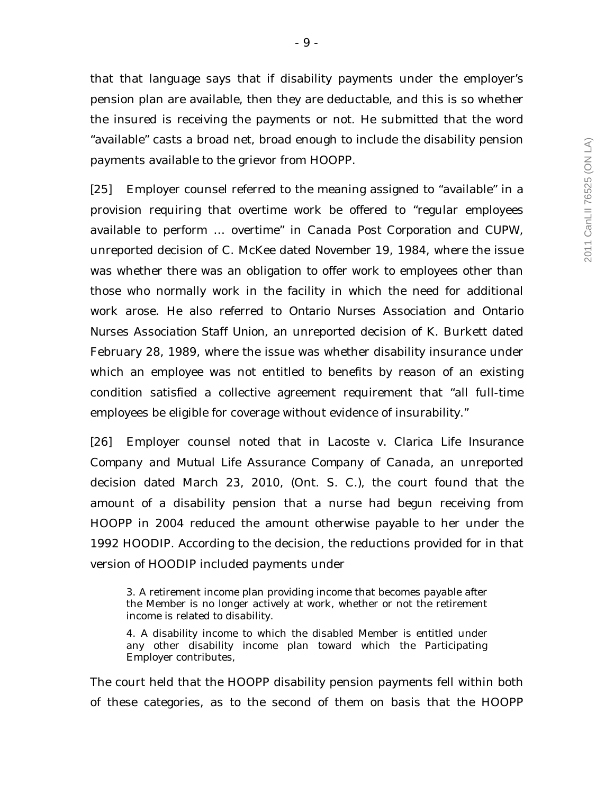that that language says that if disability payments under the employer's pension plan are available, then they are deductable, and this is so whether the insured is receiving the payments or not. He submitted that the word "available" casts a broad net, broad enough to include the disability pension payments available to the grievor from HOOPP.

[25] Employer counsel referred to the meaning assigned to "available" in a provision requiring that overtime work be offered to "regular employees available to perform … overtime" in *Canada Post Corporation and CUPW*, unreported decision of C. McKee dated November 19, 1984, where the issue was whether there was an obligation to offer work to employees other than those who normally work in the facility in which the need for additional work arose. He also referred to *Ontario Nurses Association and Ontario Nurses Association Staff Union*, an unreported decision of K. Burkett dated February 28, 1989, where the issue was whether disability insurance under which an employee was not entitled to benefits by reason of an existing condition satisfied a collective agreement requirement that "all full-time employees be eligible for coverage without evidence of insurability."

[26] Employer counsel noted that in *Lacoste v. Clarica Life Insurance Company and Mutual Life Assurance Company of Canada,* an unreported decision dated March 23, 2010, (Ont. S. C.), the court found that the amount of a disability pension that a nurse had begun receiving from HOOPP in 2004 reduced the amount otherwise payable to her under the 1992 HOODIP. According to the decision, the reductions provided for in that version of HOODIP included payments under

3. A retirement income plan providing income that becomes payable after the Member is no longer actively at work, whether or not the retirement income is related to disability.

4. A disability income to which the disabled Member is entitled under any other disability income plan toward which the Participating Employer contributes,

The court held that the HOOPP disability pension payments fell within both of these categories, as to the second of them on basis that the HOOPP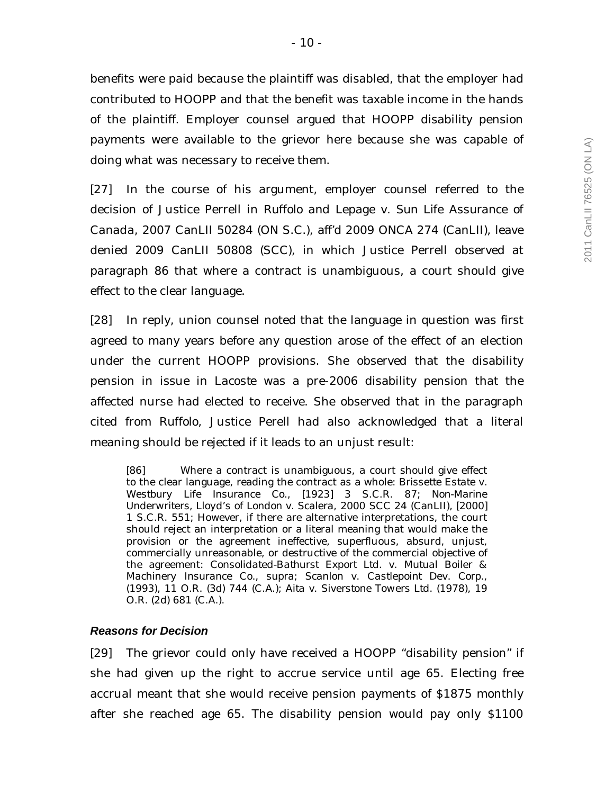benefits were paid because the plaintiff was disabled, that the employer had contributed to HOOPP and that the benefit was taxable income in the hands of the plaintiff. Employer counsel argued that HOOPP disability pension payments were available to the grievor here because she was capable of doing what was necessary to receive them.

[27] In the course of his argument, employer counsel referred to the decision of Justice Perrell in *Ruffolo and Lepage v. Sun Life Assurance of Canada*, 2007 CanLII 50284 (ON S.C.), aff'd 2009 ONCA 274 (CanLII), leave denied 2009 CanLII 50808 (SCC), in which Justice Perrell observed at paragraph 86 that where a contract is unambiguous, a court should give effect to the clear language.

[28] In reply, union counsel noted that the language in question was first agreed to many years before any question arose of the effect of an election under the current HOOPP provisions. She observed that the disability pension in issue in *Lacoste* was a pre-2006 disability pension that the affected nurse had elected to receive. She observed that in the paragraph cited from *Ruffolo*, Justice Perell had also acknowledged that a literal meaning should be rejected if it leads to an unjust result:

[86] Where a contract is unambiguous, a court should give effect to the clear language, reading the contract as a whole: *Brissette Estate v. Westbury Life Insurance Co.*, [1923] 3 S.C.R. 87; *Non-Marine Underwriters, Lloyd's of London v. Scalera*, 2000 SCC 24 (CanLII), [2000] 1 S.C.R. 551; However, if there are alternative interpretations, the court should reject an interpretation or a literal meaning that would make the provision or the agreement ineffective, superfluous, absurd, unjust, commercially unreasonable, or destructive of the commercial objective of the agreement: *Consolidated-Bathurst Export Ltd.* v. *Mutual Boiler & Machinery Insurance Co.*, *supra*; *Scanlon* v. *Castlepoint Dev. Corp.*, (1993), 11 O.R. (3d) 744 (C.A.); *Aita* v. *Siverstone Towers Ltd.* (1978), 19 O.R. (2d) 681 (C.A.).

### *Reasons for Decision*

[29] The grievor could only have received a HOOPP "disability pension" if she had given up the right to accrue service until age 65. Electing free accrual meant that she would receive pension payments of \$1875 monthly after she reached age 65. The disability pension would pay only \$1100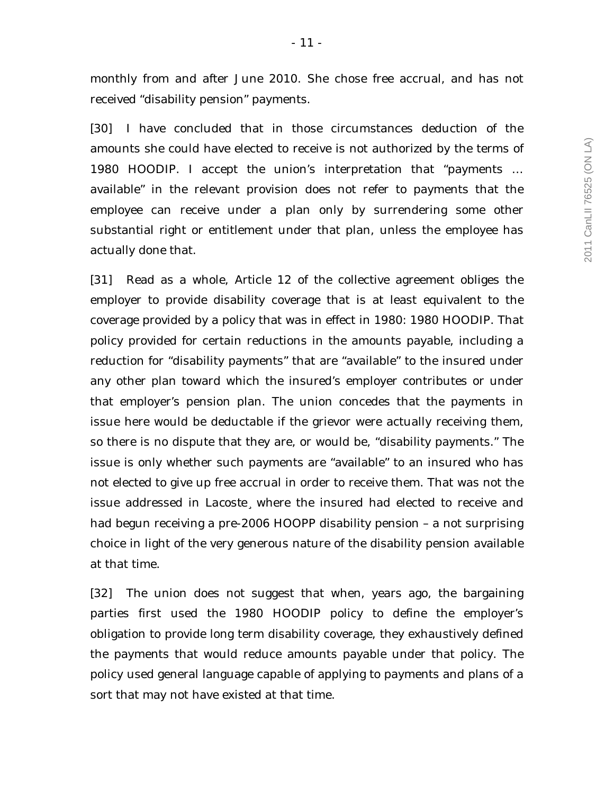monthly from and after June 2010. She chose free accrual, and has not received "disability pension" payments.

[30] I have concluded that in those circumstances deduction of the amounts she could have elected to receive is not authorized by the terms of 1980 HOODIP. I accept the union's interpretation that "payments … available" in the relevant provision does not refer to payments that the employee can receive under a plan only by surrendering some other substantial right or entitlement under that plan, unless the employee has actually done that.

[31] Read as a whole, Article 12 of the collective agreement obliges the employer to provide disability coverage that is at least equivalent to the coverage provided by a policy that was in effect in 1980: 1980 HOODIP. That policy provided for certain reductions in the amounts payable, including a reduction for "disability payments" that are "available" to the insured under any other plan toward which the insured's employer contributes or under that employer's pension plan. The union concedes that the payments in issue here would be deductable if the grievor were actually receiving them, so there is no dispute that they are, or would be, "disability payments." The issue is only whether such payments are "available" to an insured who has not elected to give up free accrual in order to receive them. That was not the issue addressed in *Lacoste¸* where the insured had elected to receive and had begun receiving a pre-2006 HOOPP disability pension – a not surprising choice in light of the very generous nature of the disability pension available at that time.

[32] The union does not suggest that when, years ago, the bargaining parties first used the 1980 HOODIP policy to define the employer's obligation to provide long term disability coverage, they exhaustively defined the payments that would reduce amounts payable under that policy. The policy used general language capable of applying to payments and plans of a sort that may not have existed at that time.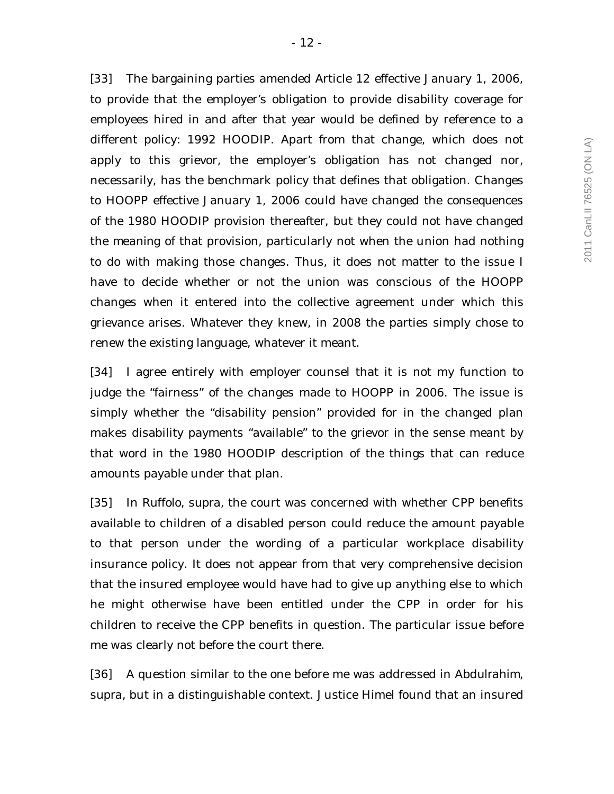[33] The bargaining parties amended Article 12 effective January 1, 2006, to provide that the employer's obligation to provide disability coverage for employees hired in and after that year would be defined by reference to a different policy: 1992 HOODIP. Apart from that change, which does not apply to this grievor, the employer's obligation has not changed nor, necessarily, has the benchmark policy that defines that obligation. Changes to HOOPP effective January 1, 2006 could have changed the *consequences* of the 1980 HOODIP provision thereafter, but they could not have changed the *meaning* of that provision, particularly not when the union had nothing to do with making those changes. Thus, it does not matter to the issue I have to decide whether or not the union was conscious of the HOOPP changes when it entered into the collective agreement under which this grievance arises. Whatever they knew, in 2008 the parties simply chose to renew the existing language, whatever it meant.

[34] I agree entirely with employer counsel that it is not my function to judge the "fairness" of the changes made to HOOPP in 2006. The issue is simply whether the "disability pension" provided for in the changed plan makes disability payments "available" to the grievor in the sense meant by that word in the 1980 HOODIP description of the things that can reduce amounts payable under that plan.

[35] In *Ruffolo, supra,* the court was concerned with whether CPP benefits available to children of a disabled person could reduce the amount payable to that person under the wording of a particular workplace disability insurance policy. It does not appear from that very comprehensive decision that the insured employee would have had to give up anything else to which he might otherwise have been entitled under the CPP in order for his children to receive the CPP benefits in question. The particular issue before me was clearly not before the court there.

[36] A question similar to the one before me was addressed in *Abdulrahim, supra,* but in a distinguishable context. Justice Himel found that an insured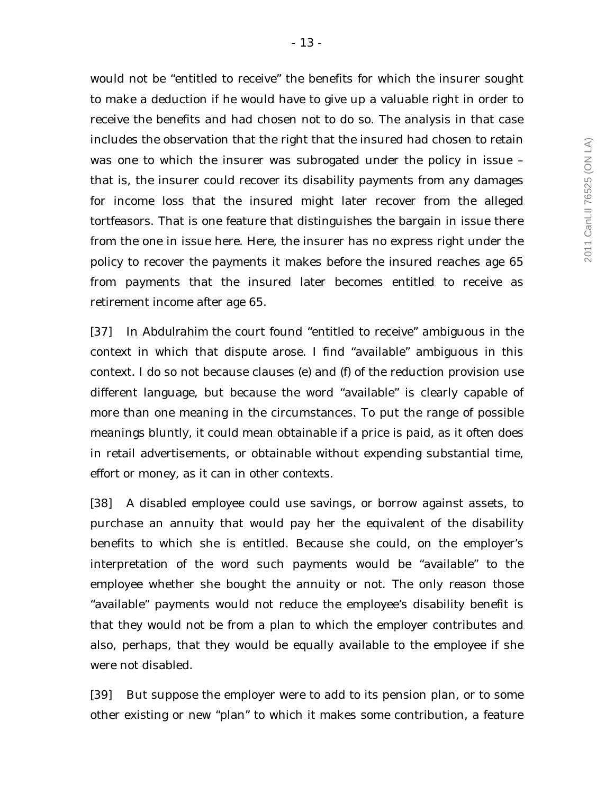would not be "entitled to receive" the benefits for which the insurer sought to make a deduction if he would have to give up a valuable right in order to receive the benefits and had chosen not to do so. The analysis in that case includes the observation that the right that the insured had chosen to retain was one to which the insurer was subrogated under the policy in issue – that is, the insurer could recover its disability payments from any damages for income loss that the insured might later recover from the alleged tortfeasors. That is one feature that distinguishes the bargain in issue there from the one in issue here. Here, the insurer has no express right under the policy to recover the payments it makes before the insured reaches age 65 from payments that the insured later becomes entitled to receive as retirement income after age 65.

[37] In *Abdulrahim* the court found "entitled to receive" ambiguous in the context in which that dispute arose. I find "available" ambiguous in this context. I do so not because clauses (e) and (f) of the reduction provision use different language, but because the word "available" is clearly capable of more than one meaning in the circumstances. To put the range of possible meanings bluntly, it could mean obtainable if a price is paid, as it often does in retail advertisements, or obtainable without expending substantial time, effort or money, as it can in other contexts.

[38] A disabled employee could use savings, or borrow against assets, to purchase an annuity that would pay her the equivalent of the disability benefits to which she is entitled. Because she could, on the employer's interpretation of the word such payments would be "available" to the employee whether she bought the annuity or not. The only reason those "available" payments would not reduce the employee's disability benefit is that they would not be from a plan to which the employer contributes and also, perhaps, that they would be equally available to the employee if she were not disabled.

[39] But suppose the employer were to add to its pension plan, or to some other existing or new "plan" to which it makes some contribution, a feature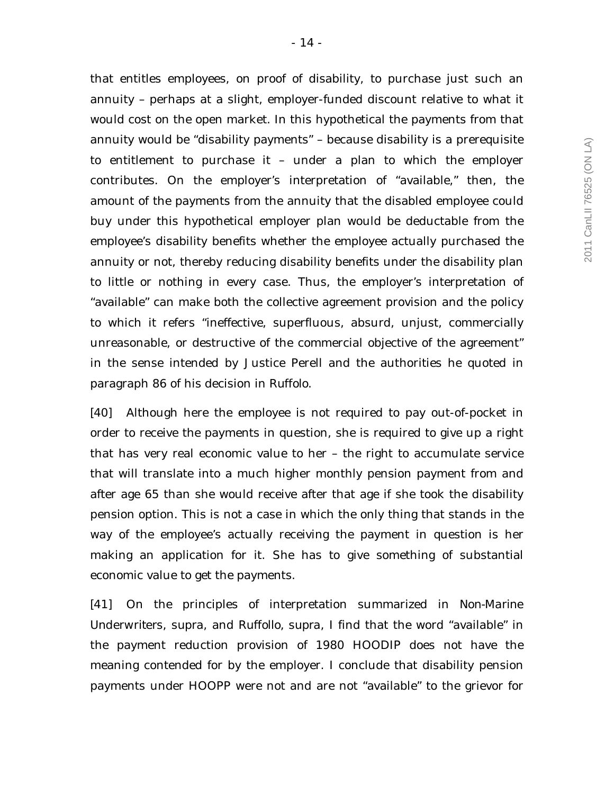that entitles employees, on proof of disability, to purchase just such an annuity – perhaps at a slight, employer-funded discount relative to what it would cost on the open market. In this hypothetical the payments from that annuity would be "disability payments" – because disability is a prerequisite to entitlement to purchase it – under a plan to which the employer contributes. On the employer's interpretation of "available," then, the amount of the payments from the annuity that the disabled employee could buy under this hypothetical employer plan would be deductable from the employee's disability benefits whether the employee actually purchased the annuity or not, thereby reducing disability benefits under the disability plan to little or nothing in every case. Thus, the employer's interpretation of "available" can make both the collective agreement provision and the policy to which it refers "ineffective, superfluous, absurd, unjust, commercially unreasonable, or destructive of the commercial objective of the agreement" in the sense intended by Justice Perell and the authorities he quoted in paragraph 86 of his decision in *Ruffolo*.

[40] Although here the employee is not required to pay out-of-pocket in order to receive the payments in question, she is required to give up a right that has very real economic value to her – the right to accumulate service that will translate into a much higher monthly pension payment from and after age 65 than she would receive after that age if she took the disability pension option. This is not a case in which the only thing that stands in the way of the employee's actually receiving the payment in question is her making an application for it. She has to give something of substantial economic value to get the payments.

[41] On the principles of interpretation summarized in *Non-Marine Underwriters*, *supra*, and *Ruffollo, supra*, I find that the word "available" in the payment reduction provision of 1980 HOODIP does not have the meaning contended for by the employer. I conclude that disability pension payments under HOOPP were not and are not "available" to the grievor for